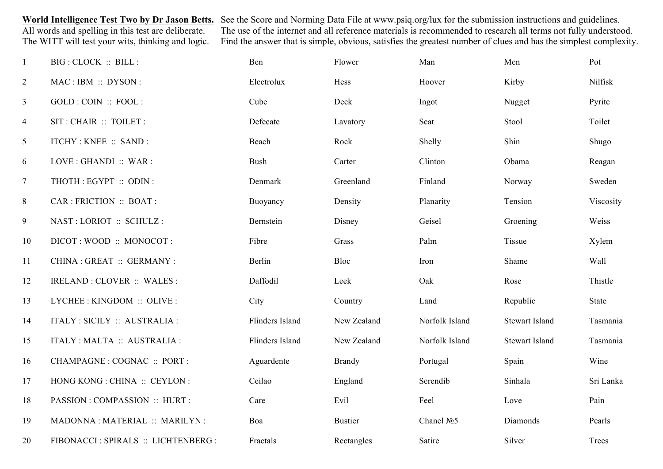World Intelligence Test Two by Dr Jason Betts. See the Score and Norming Data File at www.psiq.org/lux for the submission instructions and guidelines.<br>All words and spelling in this test are deliberate. The use of the inte All words and spelling in this test are deliberate. The use of the internet and all reference materials is recommended to research all terms not fully understood.<br>The WITT will test your wits, thinking and logic. Find the Find the answer that is simple, obvious, satisfies the greatest number of clues and has the simplest complexity.

| $\mathbf{1}$   | BIG : CLOCK :: BILL :               | Ben                    | Flower         | Man            | Men                   | Pot       |
|----------------|-------------------------------------|------------------------|----------------|----------------|-----------------------|-----------|
| $\overline{2}$ | MAC: IBM: DYSON:                    | Electrolux             | Hess           | Hoover         | Kirby                 | Nilfisk   |
| $\mathfrak{Z}$ | GOLD : COIN :: FOOL :               | Cube                   | Deck           | Ingot          | Nugget                | Pyrite    |
| $\overline{4}$ | SIT: CHAIR :: TOILET :              | Defecate               | Lavatory       | Seat           | Stool                 | Toilet    |
| $\mathfrak{S}$ | <b>ITCHY: KNEE :: SAND:</b>         | Beach                  | Rock           | Shelly         | Shin                  | Shugo     |
| 6              | LOVE : GHANDI :: WAR :              | <b>Bush</b>            | Carter         | Clinton        | Obama                 | Reagan    |
| $\overline{7}$ | THOTH : EGYPT :: ODIN :             | Denmark                | Greenland      | Finland        | Norway                | Sweden    |
| 8              | CAR : FRICTION :: BOAT :            | Buoyancy               | Density        | Planarity      | Tension               | Viscosity |
| 9              | NAST: LORIOT :: SCHULZ:             | Bernstein              | Disney         | Geisel         | Groening              | Weiss     |
| 10             | DICOT: WOOD :: MONOCOT:             | Fibre                  | Grass          | Palm           | Tissue                | Xylem     |
| 11             | CHINA : GREAT :: GERMANY :          | Berlin                 | Bloc           | Iron           | Shame                 | Wall      |
| 12             | IRELAND : CLOVER :: WALES :         | Daffodil               | Leek           | Oak            | Rose                  | Thistle   |
| 13             | LYCHEE: KINGDOM: OLIVE:             | City                   | Country        | Land           | Republic              | State     |
| 14             | ITALY : SICILY :: AUSTRALIA :       | Flinders Island        | New Zealand    | Norfolk Island | <b>Stewart Island</b> | Tasmania  |
| 15             | ITALY : MALTA :: AUSTRALIA :        | <b>Flinders Island</b> | New Zealand    | Norfolk Island | <b>Stewart Island</b> | Tasmania  |
| 16             | CHAMPAGNE : COGNAC :: PORT :        | Aguardente             | <b>Brandy</b>  | Portugal       | Spain                 | Wine      |
| 17             | HONG KONG : CHINA :: CEYLON :       | Ceilao                 | England        | Serendib       | Sinhala               | Sri Lanka |
| 18             | PASSION : COMPASSION :: HURT :      | Care                   | Evil           | Feel           | Love                  | Pain      |
| 19             | MADONNA : MATERIAL :: MARILYN :     | Boa                    | <b>Bustier</b> | Chanel $N25$   | Diamonds              | Pearls    |
| 20             | FIBONACCI: SPIRALS :: LICHTENBERG : | Fractals               | Rectangles     | Satire         | Silver                | Trees     |